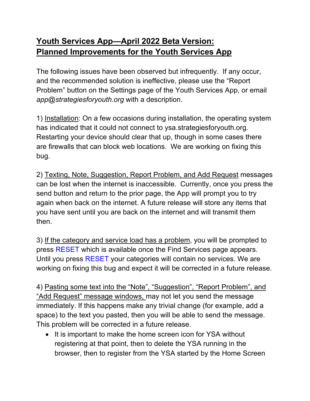## **Youth Services App—April 2022 Beta Version: Planned Improvements for the Youth Services App**

The following issues have been observed but infrequently. If any occur, and the recommended solution is ineffective, please use the "Report Problem" button on the Settings page of the Youth Services App, or email *app@strategiesforyouth.org* with a description.

1) Installation: On a few occasions during installation, the operating system has indicated that it could not connect to ysa.strategiesforyouth.org. Restarting your device should clear that up, though in some cases there are firewalls that can block web locations. We are working on fixing this bug.

2) Texting, Note, Suggestion, Report Problem, and Add Request messages can be lost when the internet is inaccessible. Currently, once you press the send button and return to the prior page, the App will prompt you to try again when back on the internet. A future release will store any items that you have sent until you are back on the internet and will transmit them then.

3) If the category and service load has a problem, you will be prompted to press RESET which is available once the Find Services page appears. Until you press RESET your categories will contain no services. We are working on fixing this bug and expect it will be corrected in a future release.

4) Pasting some text into the "Note", "Suggestion", "Report Problem", and "Add Request" message windows, may not let you send the message immediately. If this happens make any trivial change (for example, add a space) to the text you pasted, then you will be able to send the message. This problem will be corrected in a future release.

• It is important to make the home screen icon for YSA without registering at that point, then to delete the YSA running in the browser, then to register from the YSA started by the Home Screen